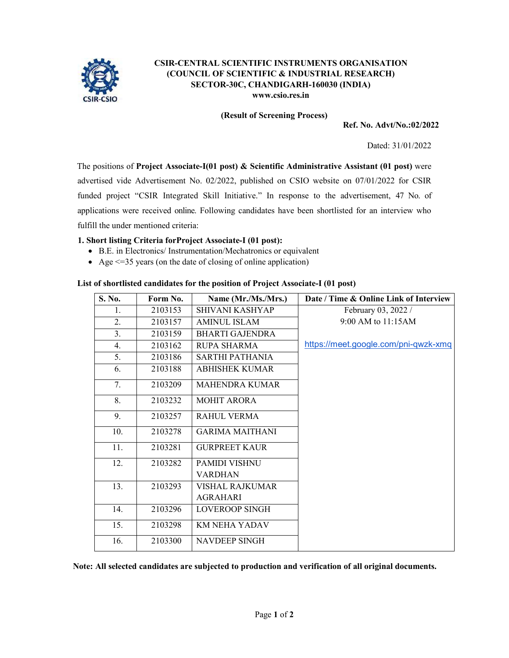

## **CSIR-CENTRAL SCIENTIFIC INSTRUMENTS ORGANISATION (COUNCIL OF SCIENTIFIC & INDUSTRIAL RESEARCH) SECTOR-30C, CHANDIGARH-160030 (INDIA) www.csio.res.in**

**(Result of Screening Process)** 

**Ref. No. Advt/No.:02/2022** 

Dated: 31/01/2022

The positions of **Project Associate-I(01 post) & Scientific Administrative Assistant (01 post)** were advertised vide Advertisement No. 02/2022, published on CSIO website on 07/01/2022 for CSIR funded project "CSIR Integrated Skill Initiative." In response to the advertisement, 47 No. of applications were received online. Following candidates have been shortlisted for an interview who fulfill the under mentioned criteria:

# **1. Short listing Criteria forProject Associate-I (01 post):**

- B.E. in Electronics/ Instrumentation/Mechatronics or equivalent
- Age  $\leq$  =35 years (on the date of closing of online application)

## **List of shortlisted candidates for the position of Project Associate-I (01 post)**

| S. No. | Form No. | Name (Mr./Ms./Mrs.)    | Date / Time & Online Link of Interview |
|--------|----------|------------------------|----------------------------------------|
| 1.     | 2103153  | <b>SHIVANI KASHYAP</b> | February 03, 2022 /                    |
| 2.     | 2103157  | <b>AMINUL ISLAM</b>    | 9:00 AM to 11:15AM                     |
| 3.     | 2103159  | <b>BHARTI GAJENDRA</b> |                                        |
| 4.     | 2103162  | <b>RUPA SHARMA</b>     | https://meet.google.com/pni-qwzk-xmq   |
| 5.     | 2103186  | SARTHI PATHANIA        |                                        |
| 6.     | 2103188  | <b>ABHISHEK KUMAR</b>  |                                        |
| 7.     | 2103209  | <b>MAHENDRA KUMAR</b>  |                                        |
| 8.     | 2103232  | <b>MOHIT ARORA</b>     |                                        |
| 9.     | 2103257  | <b>RAHUL VERMA</b>     |                                        |
| 10.    | 2103278  | <b>GARIMA MAITHANI</b> |                                        |
| 11.    | 2103281  | <b>GURPREET KAUR</b>   |                                        |
| 12.    | 2103282  | <b>PAMIDI VISHNU</b>   |                                        |
|        |          | <b>VARDHAN</b>         |                                        |
| 13.    | 2103293  | VISHAL RAJKUMAR        |                                        |
|        |          | <b>AGRAHARI</b>        |                                        |
| 14.    | 2103296  | <b>LOVEROOP SINGH</b>  |                                        |
| 15.    | 2103298  | <b>KM NEHA YADAV</b>   |                                        |
| 16.    | 2103300  | <b>NAVDEEP SINGH</b>   |                                        |

**Note: All selected candidates are subjected to production and verification of all original documents.**